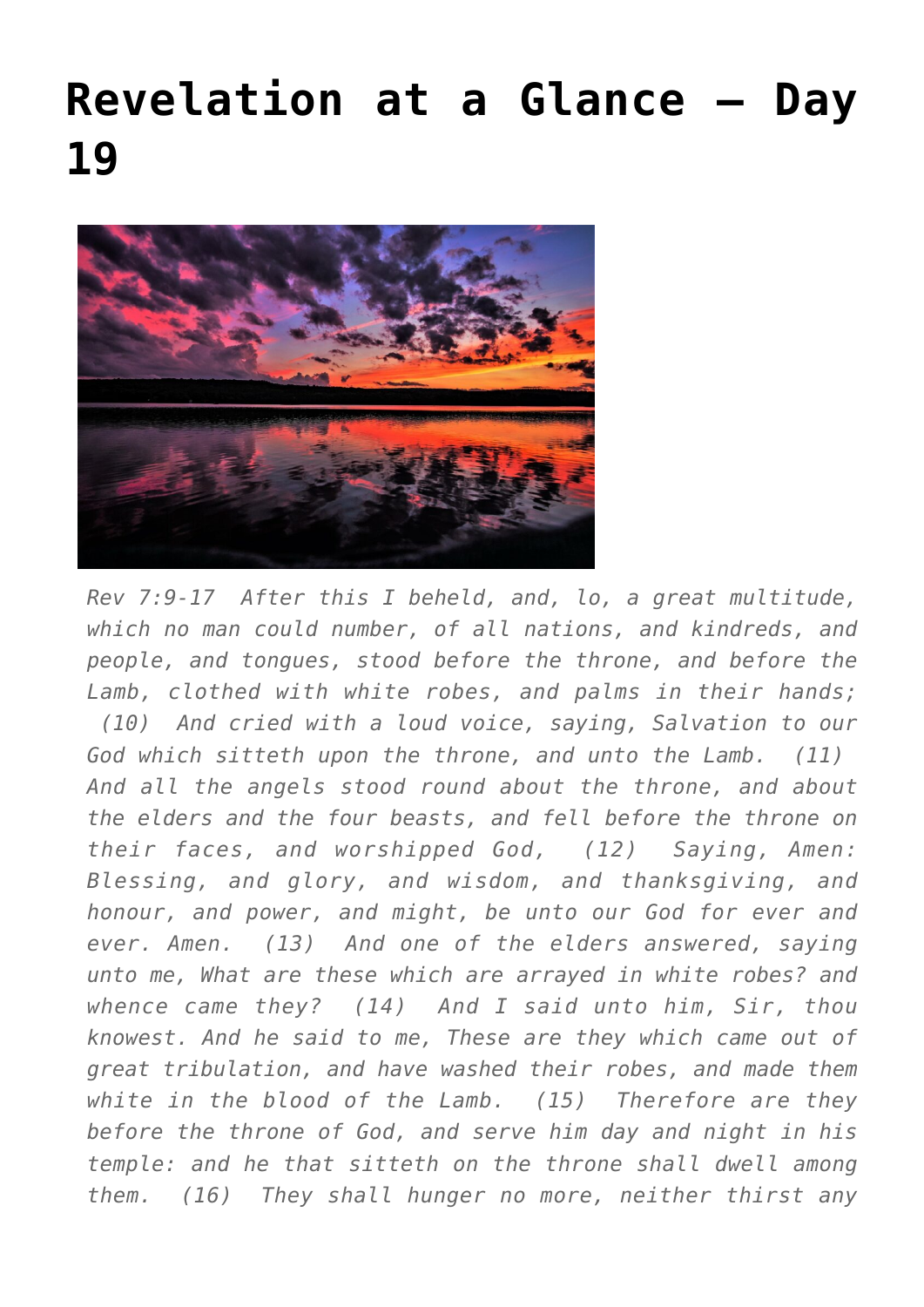## **[Revelation at a Glance – Day](https://maranatha.earnestlycontending.com/2022/06/01/revelation-at-a-glance-day-19/) [19](https://maranatha.earnestlycontending.com/2022/06/01/revelation-at-a-glance-day-19/)**



*Rev 7:9-17 After this I beheld, and, lo, a great multitude, which no man could number, of all nations, and kindreds, and people, and tongues, stood before the throne, and before the Lamb, clothed with white robes, and palms in their hands; (10) And cried with a loud voice, saying, Salvation to our God which sitteth upon the throne, and unto the Lamb. (11) And all the angels stood round about the throne, and about the elders and the four beasts, and fell before the throne on their faces, and worshipped God, (12) Saying, Amen: Blessing, and glory, and wisdom, and thanksgiving, and honour, and power, and might, be unto our God for ever and ever. Amen. (13) And one of the elders answered, saying unto me, What are these which are arrayed in white robes? and whence came they? (14) And I said unto him, Sir, thou knowest. And he said to me, These are they which came out of great tribulation, and have washed their robes, and made them white in the blood of the Lamb. (15) Therefore are they before the throne of God, and serve him day and night in his temple: and he that sitteth on the throne shall dwell among them. (16) They shall hunger no more, neither thirst any*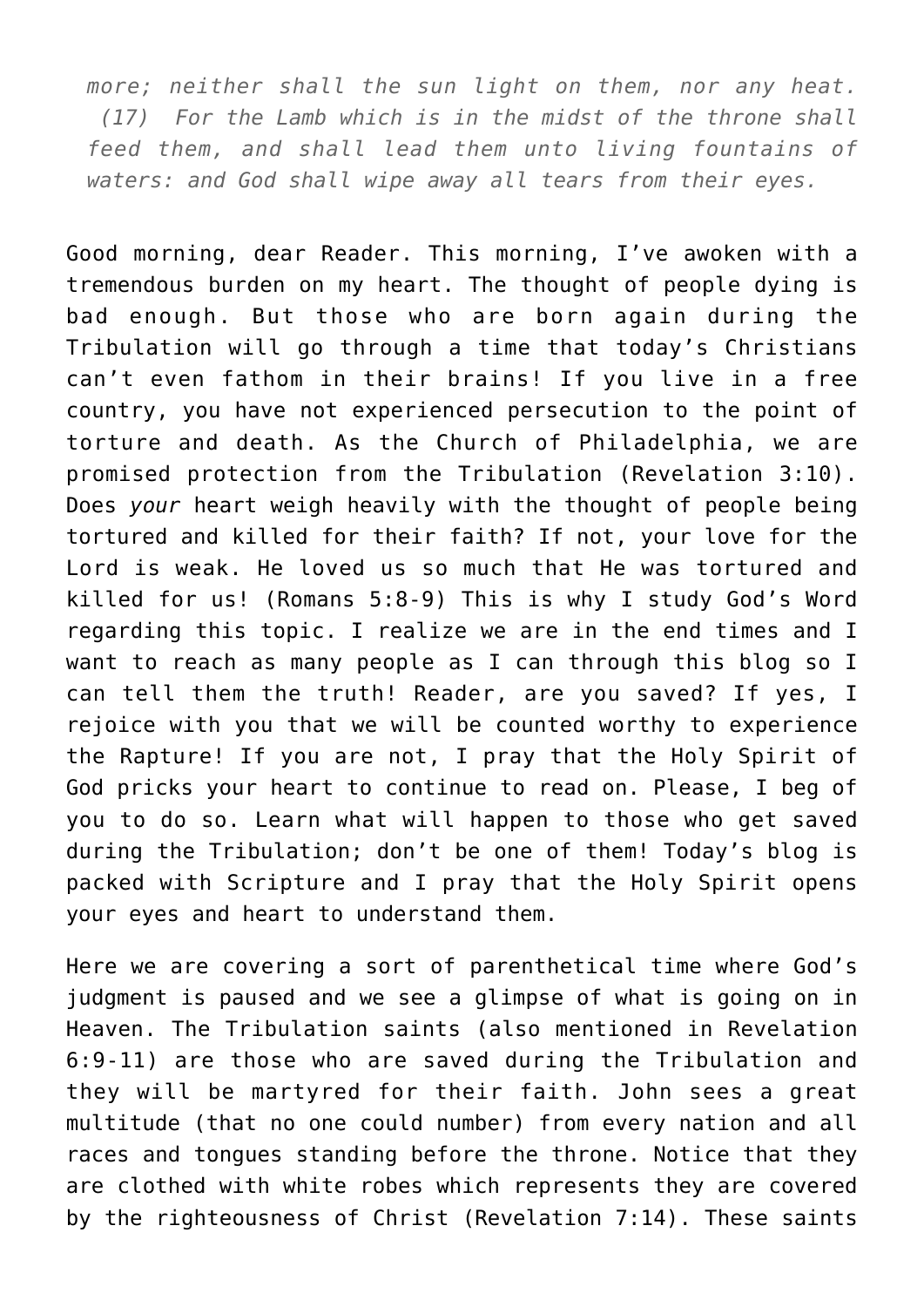*more; neither shall the sun light on them, nor any heat. (17) For the Lamb which is in the midst of the throne shall feed them, and shall lead them unto living fountains of waters: and God shall wipe away all tears from their eyes.*

Good morning, dear Reader. This morning, I've awoken with a tremendous burden on my heart. The thought of people dying is bad enough. But those who are born again during the Tribulation will go through a time that today's Christians can't even fathom in their brains! If you live in a free country, you have not experienced persecution to the point of torture and death. As the Church of Philadelphia, we are promised protection from the Tribulation (Revelation 3:10). Does *your* heart weigh heavily with the thought of people being tortured and killed for their faith? If not, your love for the Lord is weak. He loved us so much that He was tortured and killed for us! (Romans 5:8-9) This is why I study God's Word regarding this topic. I realize we are in the end times and I want to reach as many people as I can through this blog so I can tell them the truth! Reader, are you saved? If yes, I rejoice with you that we will be counted worthy to experience the Rapture! If you are not, I pray that the Holy Spirit of God pricks your heart to continue to read on. Please, I beg of you to do so. Learn what will happen to those who get saved during the Tribulation; don't be one of them! Today's blog is packed with Scripture and I pray that the Holy Spirit opens your eyes and heart to understand them.

Here we are covering a sort of parenthetical time where God's judgment is paused and we see a glimpse of what is going on in Heaven. The Tribulation saints (also mentioned in Revelation 6:9-11) are those who are saved during the Tribulation and they will be martyred for their faith. John sees a great multitude (that no one could number) from every nation and all races and tongues standing before the throne. Notice that they are clothed with white robes which represents they are covered by the righteousness of Christ (Revelation 7:14). These saints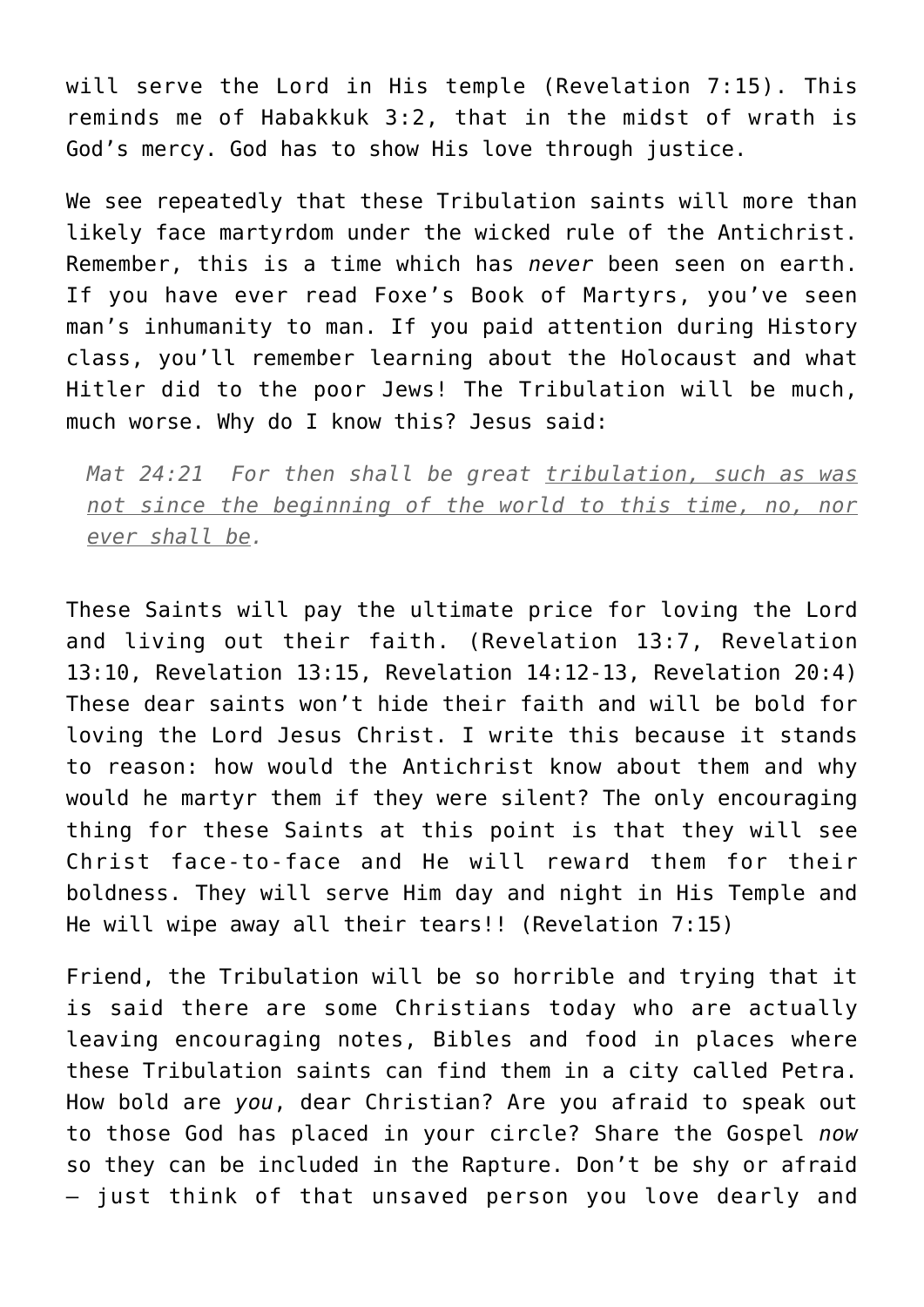will serve the Lord in His temple (Revelation 7:15). This reminds me of Habakkuk 3:2, that in the midst of wrath is God's mercy. God has to show His love through justice.

We see repeatedly that these Tribulation saints will more than likely face martyrdom under the wicked rule of the Antichrist. Remember, this is a time which has *never* been seen on earth. If you have ever read Foxe's Book of Martyrs, you've seen man's inhumanity to man. If you paid attention during History class, you'll remember learning about the Holocaust and what Hitler did to the poor Jews! The Tribulation will be much, much worse. Why do I know this? Jesus said:

*Mat 24:21 For then shall be great tribulation, such as was not since the beginning of the world to this time, no, nor ever shall be.*

These Saints will pay the ultimate price for loving the Lord and living out their faith. (Revelation 13:7, Revelation 13:10, Revelation 13:15, Revelation 14:12-13, Revelation 20:4) These dear saints won't hide their faith and will be bold for loving the Lord Jesus Christ. I write this because it stands to reason: how would the Antichrist know about them and why would he martyr them if they were silent? The only encouraging thing for these Saints at this point is that they will see Christ face-to-face and He will reward them for their boldness. They will serve Him day and night in His Temple and He will wipe away all their tears!! (Revelation 7:15)

Friend, the Tribulation will be so horrible and trying that it is said there are some Christians today who are actually leaving encouraging notes, Bibles and food in places where these Tribulation saints can find them in a city called Petra. How bold are *you*, dear Christian? Are you afraid to speak out to those God has placed in your circle? Share the Gospel *now* so they can be included in the Rapture. Don't be shy or afraid – just think of that unsaved person you love dearly and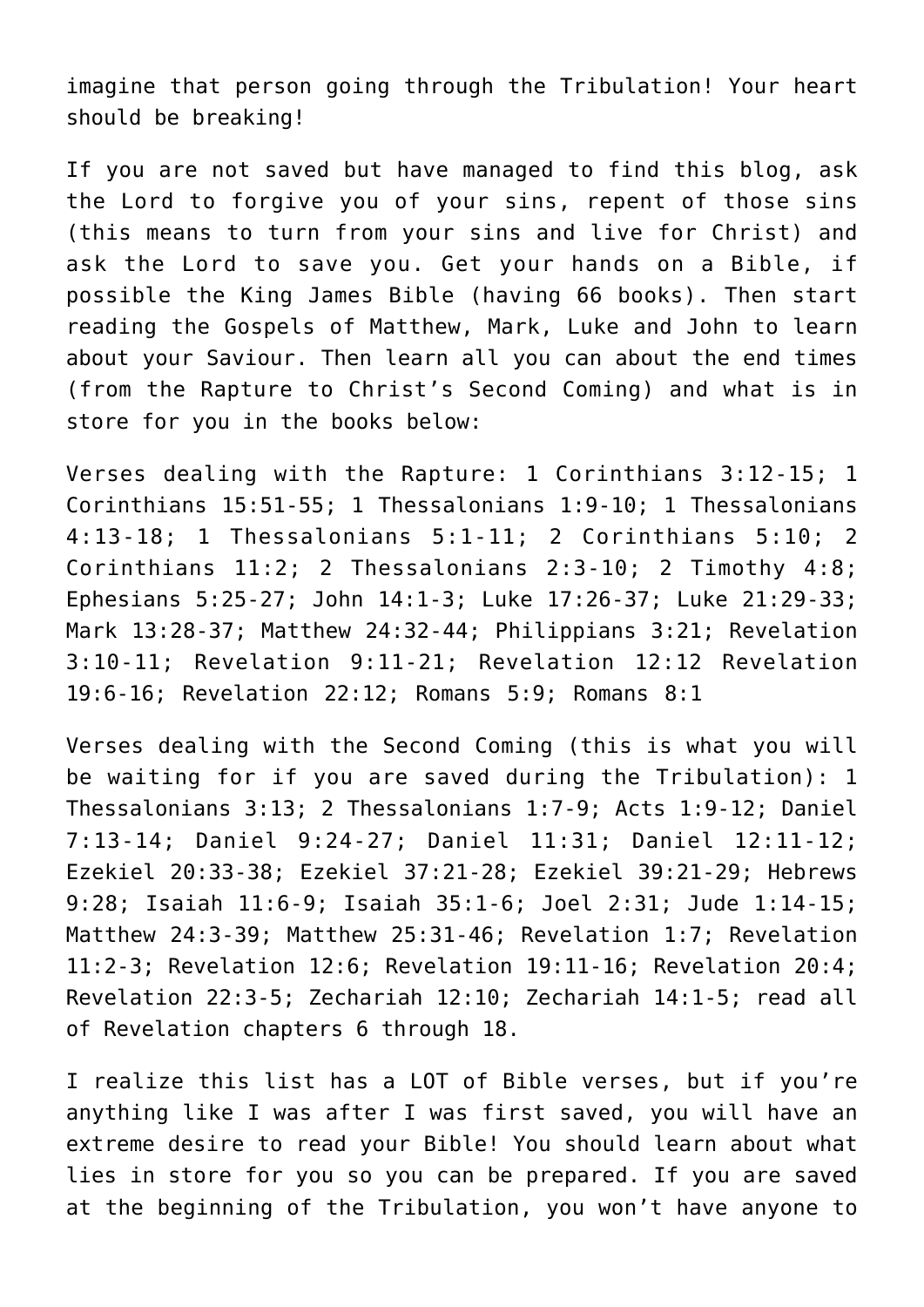imagine that person going through the Tribulation! Your heart should be breaking!

If you are not saved but have managed to find this blog, ask the Lord to forgive you of your sins, repent of those sins (this means to turn from your sins and live for Christ) and ask the Lord to save you. Get your hands on a Bible, if possible the King James Bible (having 66 books). Then start reading the Gospels of Matthew, Mark, Luke and John to learn about your Saviour. Then learn all you can about the end times (from the Rapture to Christ's Second Coming) and what is in store for you in the books below:

Verses dealing with the Rapture: 1 Corinthians 3:12-15; 1 Corinthians 15:51-55; 1 Thessalonians 1:9-10; 1 Thessalonians 4:13-18; 1 Thessalonians 5:1-11; 2 Corinthians 5:10; 2 Corinthians 11:2; 2 Thessalonians 2:3-10; 2 Timothy 4:8; Ephesians 5:25-27; John 14:1-3; Luke 17:26-37; Luke 21:29-33; Mark 13:28-37; Matthew 24:32-44; Philippians 3:21; Revelation 3:10-11; Revelation 9:11-21; Revelation 12:12 Revelation 19:6-16; Revelation 22:12; Romans 5:9; Romans 8:1

Verses dealing with the Second Coming (this is what you will be waiting for if you are saved during the Tribulation): 1 Thessalonians 3:13; 2 Thessalonians 1:7-9; Acts 1:9-12; Daniel 7:13-14; Daniel 9:24-27; Daniel 11:31; Daniel 12:11-12; Ezekiel 20:33-38; Ezekiel 37:21-28; Ezekiel 39:21-29; Hebrews 9:28; Isaiah 11:6-9; Isaiah 35:1-6; Joel 2:31; Jude 1:14-15; Matthew 24:3-39; Matthew 25:31-46; Revelation 1:7; Revelation 11:2-3; Revelation 12:6; Revelation 19:11-16; Revelation 20:4; Revelation 22:3-5; Zechariah 12:10; Zechariah 14:1-5; read all of Revelation chapters 6 through 18.

I realize this list has a LOT of Bible verses, but if you're anything like I was after I was first saved, you will have an extreme desire to read your Bible! You should learn about what lies in store for you so you can be prepared. If you are saved at the beginning of the Tribulation, you won't have anyone to